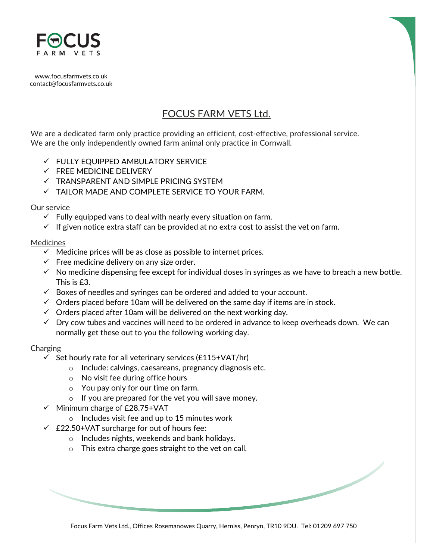

[www.focusfarmvets.co.uk](http://www.focusfarmvets.co.uk/) contact@focusfarmvets.co.uk

# FOCUS FARM VETS Ltd.

We are a dedicated farm only practice providing an efficient, cost-effective, professional service. We are the only independently owned farm animal only practice in Cornwall.

- FULLY EQUIPPED AMBULATORY SERVICE
- $\checkmark$  FREE MEDICINE DELIVERY
- $\checkmark$  TRANSPARENT AND SIMPLE PRICING SYSTEM
- TAILOR MADE AND COMPLETE SERVICE TO YOUR FARM.

## Our service

- $\checkmark$  Fully equipped vans to deal with nearly every situation on farm.
- $\checkmark$  If given notice extra staff can be provided at no extra cost to assist the vet on farm.

## Medicines

- $\checkmark$  Medicine prices will be as close as possible to internet prices.
- $\checkmark$  Free medicine delivery on any size order.
- $\checkmark$  No medicine dispensing fee except for individual doses in syringes as we have to breach a new bottle. This is £3.
- $\checkmark$  Boxes of needles and syringes can be ordered and added to your account.
- $\checkmark$  Orders placed before 10am will be delivered on the same day if items are in stock.
- $\checkmark$  Orders placed after 10am will be delivered on the next working day.
- $\checkmark$  Dry cow tubes and vaccines will need to be ordered in advance to keep overheads down. We can normally get these out to you the following working day.

## Charging

- $\checkmark$  Set hourly rate for all veterinary services (£115+VAT/hr)
	- o Include: calvings, caesareans, pregnancy diagnosis etc.
	- o No visit fee during office hours
	- o You pay only for our time on farm.
	- o If you are prepared for the vet you will save money.
- $\checkmark$  Minimum charge of £28.75+VAT
	- o Includes visit fee and up to 15 minutes work
- $\angle$  £22.50+VAT surcharge for out of hours fee:
	- o Includes nights, weekends and bank holidays.
	- o This extra charge goes straight to the vet on call.

Focus Farm Vets Ltd., Offices Rosemanowes Quarry, Herniss, Penryn, TR10 9DU. Tel: 01209 697 750